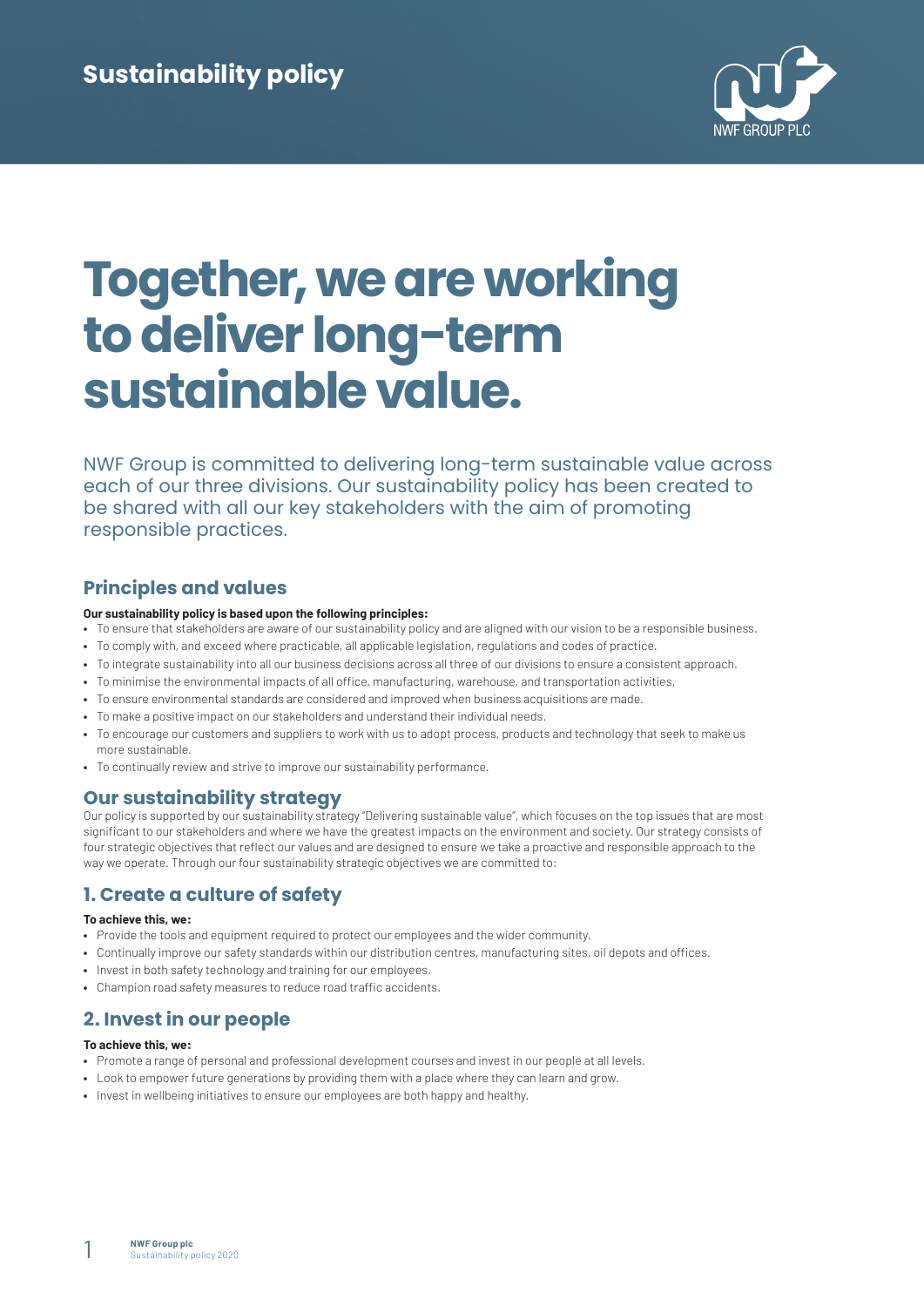

# **Together, we are working to deliver long-term sustainable value.**

NWF Group is committed to delivering long-term sustainable value across each of our three divisions. Our sustainability policy has been created to be shared with all our key stakeholders with the aim of promoting responsible practices.

# **Principles and values**

### **Our sustainability policy is based upon the following principles:**

- **•** To ensure that stakeholders are aware of our sustainability policy and are aligned with our vision to be a responsible business.
- **•** To comply with, and exceed where practicable, all applicable legislation, regulations and codes of practice.
- **•** To integrate sustainability into all our business decisions across all three of our divisions to ensure a consistent approach.
- **•** To minimise the environmental impacts of all office, manufacturing, warehouse, and transportation activities.
- **•** To ensure environmental standards are considered and improved when business acquisitions are made.
- **•** To make a positive impact on our stakeholders and understand their individual needs.
- **•** To encourage our customers and suppliers to work with us to adopt process, products and technology that seek to make us more sustainable.
- **•** To continually review and strive to improve our sustainability performance.

# **Our sustainability strategy**

Our policy is supported by our sustainability strategy "Delivering sustainable value", which focuses on the top issues that are most significant to our stakeholders and where we have the greatest impacts on the environment and society. Our strategy consists of four strategic objectives that reflect our values and are designed to ensure we take a proactive and responsible approach to the way we operate. Through our four sustainability strategic objectives we are committed to:

# **1. Create a culture of safety**

### **To achieve this, we:**

- **•** Provide the tools and equipment required to protect our employees and the wider community.
- **•** Continually improve our safety standards within our distribution centres, manufacturing sites, oil depots and offices.
- **•** Invest in both safety technology and training for our employees.
- **•** Champion road safety measures to reduce road traffic accidents.

# **2. Invest in our people**

### **To achieve this, we:**

- **•** Promote a range of personal and professional development courses and invest in our people at all levels.
- **•** Look to empower future generations by providing them with a place where they can learn and grow.
- **•** Invest in wellbeing initiatives to ensure our employees are both happy and healthy.